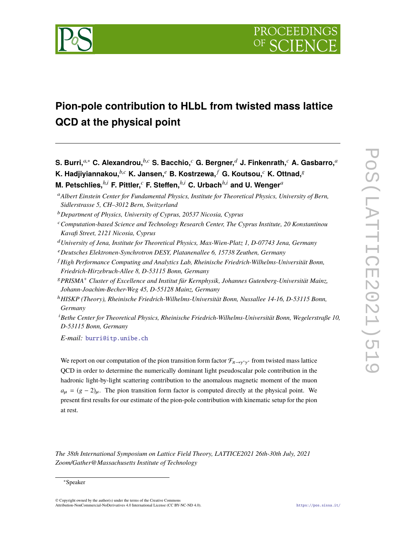

# **Pion-pole contribution to HLbL from twisted mass lattice QCD at the physical point**

**S. Burri,***a*,<sup>∗</sup> **C. Alexandrou,***b*,*<sup>c</sup>* **S. Bacchio,***<sup>c</sup>* **G. Bergner,***<sup>d</sup>* **J. Finkenrath,***<sup>c</sup>* **A. Gasbarro,***<sup>a</sup>*

**K. Hadjiyiannakou,***b*,*<sup>c</sup>* **K. Jansen,***<sup>e</sup>* **B. Kostrzewa,** *<sup>f</sup>* **G. Koutsou,***<sup>c</sup>* **K. Ottnad,**<sup>g</sup>

**M. Petschlies,***h*,*<sup>i</sup>* **F. Pittler,***<sup>c</sup>* **F. Steffen,***h*,*<sup>i</sup>* **C. Urbach***h*,*<sup>i</sup>* **and U. Wenger***<sup>a</sup>*

<sup>b</sup>*Department of Physics, University of Cyprus, 20537 Nicosia, Cyprus*

- <sup>c</sup>*Computation-based Science and Technology Research Center, The Cyprus Institute, 20 Konstantinou Kavafi Street, 2121 Nicosia, Cyprus*
- <sup>d</sup>*University of Jena, Institute for Theoretical Physics, Max-Wien-Platz 1, D-07743 Jena, Germany*
- <sup>e</sup>*Deutsches Elektronen-Synchrotron DESY, Platanenallee 6, 15738 Zeuthen, Germany*
- <sup>f</sup> *High Performance Computing and Analytics Lab, Rheinische Friedrich-Wilhelms-Universität Bonn, Friedrich-Hirzebruch-Allee 8, D-53115 Bonn, Germany*
- <sup>g</sup>*PRISMA*<sup>+</sup> *Cluster of Excellence and Institut für Kernphysik, Johannes Gutenberg-Universität Mainz, Johann-Joachim-Becher-Weg 45, D-55128 Mainz, Germany*
- <sup>h</sup>*HISKP (Theory), Rheinische Friedrich-Wilhelms-Universität Bonn, Nussallee 14-16, D-53115 Bonn, Germany*
- <sup>i</sup>*Bethe Center for Theoretical Physics, Rheinische Friedrich-Wilhelms-Universität Bonn, Wegelerstraße 10, D-53115 Bonn, Germany*

*E-mail:* [burri@itp.unibe.ch](mailto:burri@itp.unibe.ch)

We report on our computation of the pion transition form factor  $\mathcal{F}_{\pi\to\gamma^*\gamma^*}$  from twisted mass lattice γ QCD in order to determine the numerically dominant light pseudoscalar pole contribution in the hadronic light-by-light scattering contribution to the anomalous magnetic moment of the muon  $a_{\mu} = (g - 2)_{\mu}$ . The pion transition form factor is computed directly at the physical point. We present first results for our estimate of the pion-pole contribution with kinematic setup for the pion at rest.

*The 38th International Symposium on Lattice Field Theory, LATTICE2021 26th-30th July, 2021 Zoom/Gather@Massachusetts Institute of Technology*

<sup>a</sup>*Albert Einstein Center for Fundamental Physics, Institute for Theoretical Physics, University of Bern, Sidlerstrasse 5, CH–3012 Bern, Switzerland*

<sup>∗</sup>Speaker

<sup>©</sup> Copyright owned by the author(s) under the terms of the Creative Commons Attribution-NonCommercial-NoDerivatives 4.0 International License (CC BY-NC-ND 4.0). <https://pos.sissa.it/>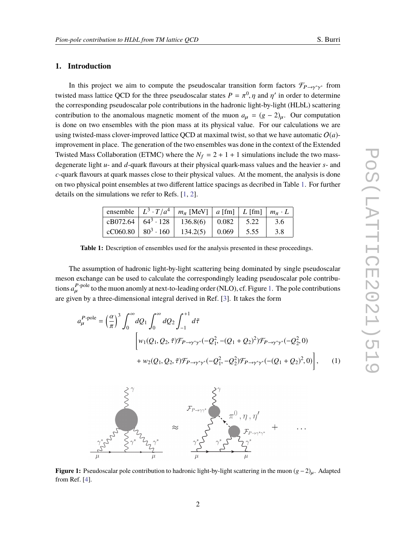## **1. Introduction**

In this project we aim to compute the pseudoscalar transition form factors  $\mathcal{F}_{P\rightarrow\gamma^*\gamma^*}$  from twisted mass lattice QCD for the three pseudoscalar states  $P = \pi^0$ ,  $\eta$  and  $\eta'$  in order to determine the corresponding pseudoscalar pole contributions in the hadronic light-by-light (HLbL) scattering contribution to the anomalous magnetic moment of the muon  $a_{\mu} = (g - 2)_{\mu}$ . Our computation is done on two ensembles with the pion mass at its physical value. For our calculations we are using twisted-mass clover-improved lattice OCD at maximal twist, so that we have automatic  $O(a)$ improvement in place. The generation of the two ensembles was done in the context of the Extended Twisted Mass Collaboration (ETMC) where the  $N_f = 2 + 1 + 1$  simulations include the two massdegenerate light *u*- and *d*-quark flavours at their physical quark-mass values and the heavier *s*- and *c*-quark flavours at quark masses close to their physical values. At the moment, the analysis is done on two physical point ensembles at two different lattice spacings as decribed in Table [1.](#page-1-0) For further details on the simulations we refer to Refs. [\[1,](#page-7-0) [2\]](#page-7-1).

<span id="page-1-0"></span>

|  | ensemble $\mid L^3 \cdot T/a^4 \mid m_\pi$ [MeV] $\mid a$ [fm] $\mid L$ [fm] $\mid m_\pi \cdot L$                                                                                                                                                       |              |     |
|--|---------------------------------------------------------------------------------------------------------------------------------------------------------------------------------------------------------------------------------------------------------|--------------|-----|
|  | cB072.64 $\begin{array}{ c c c c c c c c } \hline \end{array}$ 64 <sup>3</sup> · 128 $\begin{array}{ c c c c c } \hline \end{array}$ 136.8(6) $\begin{array}{ c c c c c c } \hline \end{array}$ 0.082 $\begin{array}{ c c c c c c } \hline \end{array}$ |              | 3.6 |
|  | cC060.80   $80^3 \cdot 160$   134.2(5)   0.069                                                                                                                                                                                                          | $\vert 5.55$ | 3.8 |

**Table 1:** Description of ensembles used for the analysis presented in these proceedings.

The assumption of hadronic light-by-light scattering being dominated by single pseudoscalar meson exchange can be used to calculate the correspondingly leading pseudoscalar pole contributions  $a_{\mu}^{P\text{-pole}}$  to the muon anomly at next-to-leading order (NLO), cf. Figure [1.](#page-1-1) The pole contributions are given by a three-dimensional integral derived in Ref. [\[3\]](#page-7-2). It takes the form

$$
a_{\mu}^{P\text{-pole}} = \left(\frac{\alpha}{\pi}\right)^3 \int_0^{\infty} dQ_1 \int_0^{\infty} dQ_2 \int_{-1}^{+1} d\tilde{\tau}
$$
  
\n
$$
\left[ w_1(Q_1, Q_2, \tilde{\tau}) \mathcal{F}_{P \to \gamma^* \gamma^*}(-Q_1^2, -(Q_1 + Q_2)^2) \mathcal{F}_{P \to \gamma^* \gamma^*}(-Q_2^2, 0) + w_2(Q_1, Q_2, \tilde{\tau}) \mathcal{F}_{P \to \gamma^* \gamma^*}(-Q_1^2, -Q_2^2) \mathcal{F}_{P \to \gamma^* \gamma^*}(-Q_1 + Q_2)^2, 0) \right], \quad (1)
$$

<span id="page-1-2"></span><span id="page-1-1"></span>

**Figure 1:** Pseudoscalar pole contribution to hadronic light-by-light scattering in the muon (g − 2)<sub>u</sub>. Adapted from Ref. [\[4\]](#page-8-0).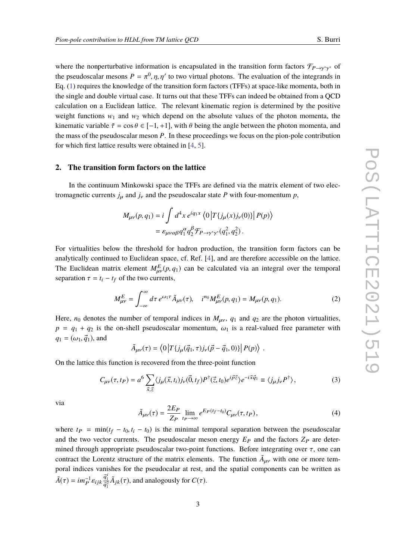where the nonperturbative information is encapsulated in the transition form factors  $\mathcal{F}_{P\rightarrow\gamma^*\gamma^*}$  of the pseudoscalar mesons  $P = \pi^0$ ,  $\eta$ ,  $\eta'$  to two virtual photons. The evaluation of the integrands in Eq. [\(1\)](#page-1-2) requires the knowledge of the transition form factors (TFFs) at space-like momenta, both in the single and double virtual case. It turns out that these TFFs can indeed be obtained from a QCD calculation on a Euclidean lattice. The relevant kinematic region is determined by the positive weight functions  $w_1$  and  $w_2$  which depend on the absolute values of the photon momenta, the kinematic variable  $\tilde{\tau} = \cos \theta \in [-1, +1]$ , with  $\theta$  being the angle between the photon momenta, and the mass of the pseudoscalar meson *P*. In these proceedings we focus on the pion-pole contribution for which first lattice results were obtained in [\[4,](#page-8-0) [5\]](#page-8-1).

#### **2. The transition form factors on the lattice**

In the continuum Minkowski space the TFFs are defined via the matrix element of two electromagnetic currents  $j_{\mu}$  and  $j_{\nu}$  and the pseudoscalar state P with four-momentum p,

$$
M_{\mu\nu}(p,q_1) = i \int d^4x \, e^{iq_1x} \left\langle 0 \left| T\{ j_\mu(x) j_\nu(0) \} \right| P(p) \right\rangle
$$
  
=  $\varepsilon_{\mu\nu\alpha\beta} q_1^\alpha q_2^\beta \mathcal{F}_{P \to \gamma^* \gamma^*}(q_1^2, q_2^2)$ .

For virtualities below the threshold for hadron production, the transition form factors can be analytically continued to Euclidean space, cf. Ref. [\[4\]](#page-8-0), and are therefore accessible on the lattice. The Euclidean matrix element  $M_{\mu\nu}^E(p, q_1)$  can be calculated via an integral over the temporal concertion  $\tau = t$  of the two currents. separation  $\tau = t_i - t_f$  of the two currents,

<span id="page-2-1"></span>
$$
M_{\mu\nu}^{E} = \int_{-\infty}^{\infty} d\tau \, e^{\omega_1 \tau} \tilde{A}_{\mu\nu}(\tau), \quad i^{n_0} M_{\mu\nu}^{E}(p, q_1) = M_{\mu\nu}(p, q_1). \tag{2}
$$

Here,  $n_0$  denotes the number of temporal indices in  $M_{\mu\nu}$ ,  $q_1$  and  $q_2$  are the photon virtualities,  $p = q_1 + q_2$  is the on-shell pseudoscalar momentum,  $\omega_1$  is a real-valued free parameter with  $q_1 = (\omega_1, \vec{q}_1)$ , and

$$
\tilde{A}_{\mu\nu}(\tau) = \left\langle 0 \left| T\{ j_\mu(\vec{q}_1, \tau) j_\nu(\vec{p} - \vec{q}_1, 0) \} \right| P(p) \right\rangle.
$$

On the lattice this function is recovered from the three-point function

$$
C_{\mu\nu}(\tau, t_P) = a^6 \sum_{\vec{x}, \vec{z}} \langle j_{\mu}(\vec{x}, t_i) j_{\nu}(\vec{0}, t_f) P^{\dagger}(\vec{z}, t_0) e^{i\vec{p}\vec{z}} \rangle e^{-i\vec{x}\vec{q}_1} \equiv \langle j_{\mu} j_{\nu} P^{\dagger} \rangle, \tag{3}
$$

via

<span id="page-2-0"></span>
$$
\tilde{A}_{\mu\nu}(\tau) = \frac{2E_P}{Z_P} \lim_{t_P \to \infty} e^{E_P(t_f - t_0)} C_{\mu\nu}(\tau, t_P), \tag{4}
$$

where  $t_P = \min(t_f - t_0, t_i - t_0)$  is the minimal temporal separation between the pseudoscalar and the two vector currents. The pseudoscalar meson energy  $E_P$  and the factors  $Z_P$  are determined through appropriate pseudoscalar two-point functions. Before integrating over  $\tau$ , one can contract the Lorentz structure of the matrix elements. The function  $\tilde{A}_{\mu\nu}$  with one or more temporal indices vanishes for the pseudocalar at rest, and the spatial components can be written as  $\tilde{A}(\tau) = im_P^{-1} \varepsilon_{ijk}$  $\vec q_1^{\,i}$  $\frac{\vec{q}_1^{\mu}}{\vec{q}_1^2} \tilde{A}_{jk}(\tau)$ , and analogously for  $C(\tau)$ .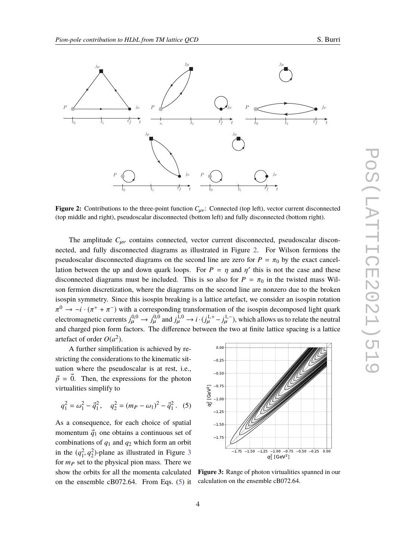<span id="page-3-0"></span>

**Figure 2:** Contributions to the three-point function  $C_{\mu\nu}$ : Connected (top left), vector current disconnected (top middle and right), pseudoscalar disconnected (bottom left) and fully disconnected (bottom right).

The amplitude  $C_{\mu\nu}$  contains connected, vector current disconnected, pseudoscalar disconnected, and fully disconnected diagrams as illustrated in Figure [2.](#page-3-0) For Wilson fermions the pseudoscalar disconnected diagrams on the second line are zero for  $P = \pi_0$  by the exact cancellation between the up and down quark loops. For  $P = \eta$  and  $\eta'$  this is not the case and these<br>disconnected discusses must be included. This is so also for  $P = \pi$  in the twisted mass Will. disconnected diagrams must be included. This is so also for  $P = \pi_0$  in the twisted mass Wilson fermion discretization, where the diagrams on the second line are nonzero due to the broken isospin symmetry. Since this isospin breaking is a lattice artefact, we consider an isospin rotation electromagnetic currents  $j_{\mu}^{0,0} \rightarrow j_{\mu}^{0,0}$  and  $j_{\mu}^{1,0} \rightarrow i \cdot (j_{\mu}^{1,+} - j_{\mu}^{1,-})$ , which allows us to relate the neutral  $0 \rightarrow -i \cdot (\pi^+ + \pi^-)$  with a corresponding transformation of the isospin decomposed light quark<br>leatness protocol is  $(0,0)$  and  $(1,0)$  and  $(1,0)$  and  $(1,0)$  and  $(1,0)$  and  $(1,0)$  and  $(1,0)$  and  $(1,0)$  and  $(1,0)$  a and charged pion form factors. The difference between the two at finite lattice spacing is a lattice artefact of order  $O(a^2)$ .

A further simplification is achieved by restricting the considerations to the kinematic situation where the pseudoscalar is at rest, i.e.,  $\vec{p} = \vec{0}$ . Then, the expressions for the photon virtualities simplify to

<span id="page-3-2"></span>
$$
q_1^2 = \omega_1^2 - \vec{q}_1^2
$$
,  $q_2^2 = (m_P - \omega_1)^2 - \vec{q}_1^2$ . (5)

As a consequence, for each choice of spatial momentum  $\vec{q}_1$  one obtains a continuous set of combinations of *q*<sup>1</sup> and *q*<sup>2</sup> which form an orbit in the  $(q_1^2, q_2^2)$ -plane as illustrated in Figure [3](#page-3-1)<br>for  $m$ , *q* at to the physical pion mass. There we for  $m<sub>P</sub>$  set to the physical pion mass. There we show the orbits for all the momenta calculated on the ensemble cB072.64. From Eqs. [\(5\)](#page-3-2) it

<span id="page-3-1"></span>

Figure 3: Range of photon virtualities spanned in our calculation on the ensemble cB072.64.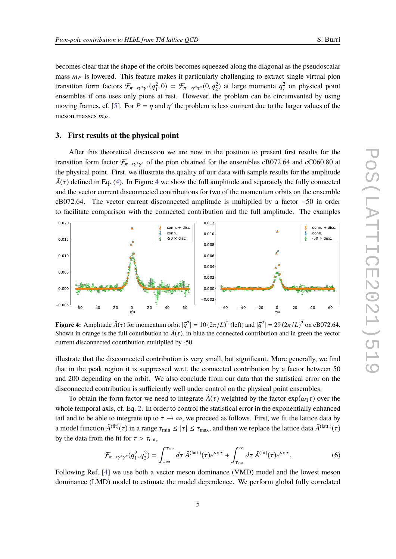becomes clear that the shape of the orbits becomes squeezed along the diagonal as the pseudoscalar mass  $m<sub>P</sub>$  is lowered. This feature makes it particularly challenging to extract single virtual pion transition form factors  $\mathcal{F}_{\pi \to \gamma^* \gamma^*}(q_1^2, 0) = \mathcal{F}_{\pi \to \gamma^* \gamma^*}(0, q_2^2)$  at large momenta  $q_i^2$ <br>examples if one uses only gions at rest. However, the real large non-he-single ensembles if one uses only pions at rest. However, the problem can be circumvented by using  $\frac{1}{i}$  on physical point moving frames, cf. [\[5\]](#page-8-1). For  $P = \eta$  and  $\eta'$  the problem is less eminent due to the larger values of the meson masses  $m_P$ .

#### **3. First results at the physical point**

After this theoretical discussion we are now in the position to present first results for the transition form factor  $\mathcal{F}_{\pi\to\gamma^*\gamma^*}$  of the pion obtained for the ensembles cB072.64 and cC060.80 at the physical point. First, we illustrate the quality of our data with sample results for the amplitude  $\tilde{A}(\tau)$  defined in Eq. [\(4\)](#page-2-0). In Figure [4](#page-4-0) we show the full amplitude and separately the fully connected and the vector current disconnected contributions for two of the momentum orbits on the ensemble cB072.64. The vector current disconnected amplitude is multiplied by a factor −50 in order to facilitate comparison with the connected contribution and the full amplitude. The examples

<span id="page-4-0"></span>

**Figure 4:** Amplitude  $\tilde{A}(\tau)$  for momentum orbit  $|\vec{q}^2| = 10(2\pi/L)^2$  (left) and  $|\vec{q}^2| = 29(2\pi/L)^2$  on cB072.64. Shown in orange is the full contribution to  $\tilde{A}(\tau)$ , in blue the connected contribution and in green the vector current disconnected contribution multiplied by -50.

illustrate that the disconnected contribution is very small, but significant. More generally, we find that in the peak region it is suppressed w.r.t. the connected contribution by a factor between 50 and 200 depending on the orbit. We also conclude from our data that the statistical error on the disconnected contribution is sufficiently well under control on the physical point ensembles.

To obtain the form factor we need to integrate  $\tilde{A}(\tau)$  weighted by the factor  $\exp(\omega_1 \tau)$  over the whole temporal axis, cf. Eq. [2.](#page-2-1) In order to control the statistical error in the exponentially enhanced tail and to be able to integrate up to  $\tau \to \infty$ , we proceed as follows. First, we fit the lattice data by a model function  $\tilde{A}^{(\text{fit})}(\tau)$  in a range  $\tau_{\text{min}} \le |\tau| \le \tau_{\text{max}}$ , and then we replace the lattice data  $\tilde{A}^{(\text{latt.})}(\tau)$ by the data from the fit for  $\tau > \tau_{\text{cut}}$ ,

<span id="page-4-1"></span>
$$
\mathcal{F}_{\pi \to \gamma^* \gamma^*} (q_1^2, q_2^2) = \int_{-\infty}^{\tau_{\text{cut}}} d\tau \, \tilde{A}^{(\text{latt.})}(\tau) e^{\omega_1 \tau} + \int_{\tau_{\text{cut}}}^{\infty} d\tau \, \tilde{A}^{(\text{fit})}(\tau) e^{\omega_1 \tau}.
$$
 (6)

Following Ref. [\[4\]](#page-8-0) we use both a vector meson dominance (VMD) model and the lowest meson dominance (LMD) model to estimate the model dependence. We perform global fully correlated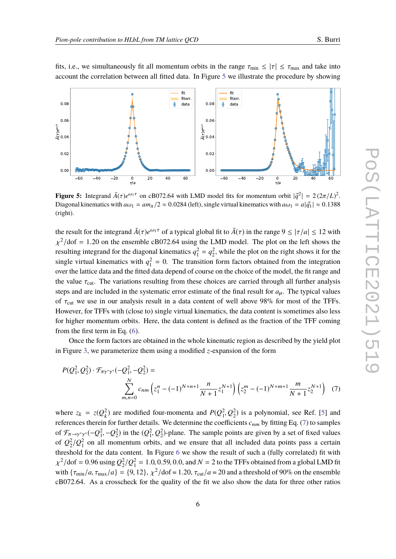<span id="page-5-0"></span>

fits, i.e., we simultaneously fit all momentum orbits in the range  $\tau_{\text{min}} \le |\tau| \le \tau_{\text{max}}$  and take into account the correlation between all fitted data. In Figure [5](#page-5-0) we illustrate the procedure by showing

**Figure 5:** Integrand  $\tilde{A}(\tau)e^{\omega_1\tau}$  on cB072.64 with LMD model fits for momentum orbit  $|\vec{q}^2| = 2(2\pi/L)^2$ . Diagonal kinematics with  $a\omega_1 = am_\pi/2 \approx 0.0284$  (left), single virtual kinematics with  $a\omega_1 = a|\vec{q_1}| \approx 0.1388$ (right).

the result for the integrand  $\tilde{A}(\tau)e^{i\omega_1\tau}$  of a typical global fit to  $\tilde{A}(\tau)$  in the range  $9 \le |\tau/a| \le 12$  with resulting integrand for the diagonal kinematics  $q_1^2 = q_2^2$ , while the plot on the right shows it for the <sup>2</sup>/dof = 1.20 on the ensemble cB072.64 using the LMD model. The plot on the left shows the single virtual kinematics with  $q_1^2 = 0$ . The transition form factors obtained from the integration over the lattice data and the fitted data depend of course on the choice of the model, the fit range and the value  $\tau_{\text{cut}}$ . The variations resulting from these choices are carried through all further analysis steps and are included in the systematic error estimate of the final result for  $a_{\mu}$ . The typical values of  $\tau_{\text{cut}}$  we use in our analysis result in a data content of well above 98% for most of the TFFs. However, for TFFs with (close to) single virtual kinematics, the data content is sometimes also less for higher momentum orbits. Here, the data content is defined as the fraction of the TFF coming from the first term in Eq. [\(6\)](#page-4-1).

Once the form factors are obtained in the whole kinematic region as described by the yield plot in Figure [3,](#page-3-1) we parameterize them using a modified *z*-expansion of the form

<span id="page-5-1"></span>
$$
P(Q_1^2, Q_2^2) \cdot \mathcal{F}_{\pi \gamma^* \gamma^*}(-Q_1^2, -Q_2^2) = \sum_{\substack{N \\ m, n = 0}}^N c_{nm} \left( z_1^n - (-1)^{N+n+1} \frac{n}{N+1} z_1^{N+1} \right) \left( z_2^m - (-1)^{N+m+1} \frac{m}{N+1} z_2^{N+1} \right) (7)
$$

where  $z_k = z(Q_k^2)$  $k$ ) are modified four-momenta and  $P(Q_1^2, Q_2^2)$  is a polynomial, see Ref. [\[5\]](#page-8-1) and<br>a for further data ile. We determine the eset idents a solution Eq. (7) to complex references therein for further details. We determine the coefficients  $c_{nm}$  by fitting Eq. [\(7\)](#page-5-1) to samples of  $\mathcal{F}_{\pi\to\gamma^*\gamma^*}(-Q_1^2, -Q_2^2)$  in the  $(Q_1^2, Q_2^2)$ -plane. The sample points are given by a set of fixed values<br>of  $Q_1^2/Q_2^2$  or all momentum orbits, and we ensure that all included data points nego a certain of  $Q_2^2/Q_1^2$  on all momentum orbits, and we ensure that all included data points pass a certain threshold for the data content. In Figure [6](#page-6-0) we show the result of such a (fully correlated) fit with with  $\{\tau_{min}/a, \tau_{max}/a\} = \{9, 12\}, \chi^2/\text{dof} = 1.20, \tau_{cut}/a = 20$  and a threshold of 90% on the ensemble <sup>2</sup>/dof = 0.96 using  $Q_2^2/Q_1^2 = 1.0, 0.59, 0.0$ , and  $N = 2$  to the TFFs obtained from a global LMD fit cB072.64. As a crosscheck for the quality of the fit we also show the data for three other ratios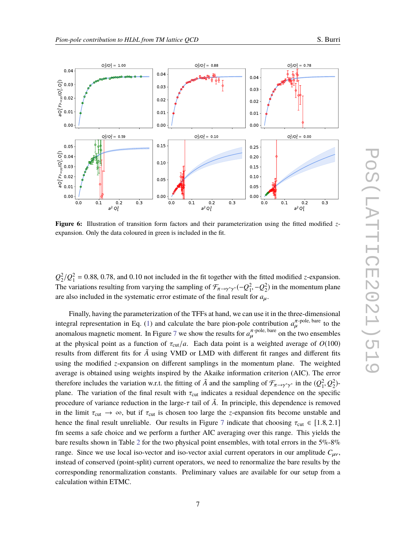<span id="page-6-0"></span>

**Figure 6:** Illustration of transition form factors and their parameterization using the fitted modified *z*expansion. Only the data coloured in green is included in the fit.

 $Q_2^2/Q_1^2 = 0.88, 0.78$ , and 0.10 not included in the fit together with the fitted modified *z*-expansion. The variations resulting from varying the sampling of  $\mathcal{F}_{\pi\to\gamma^*\gamma^*}(-Q_1^2, -Q_2^2)$  in the momentum plane are also included in the systematic error estimate of the final result for  $a_{\mu}$ .

Finally, having the parameterization of the TFFs at hand, we can use it in the three-dimensional integral representation in Eq. [\(1\)](#page-1-2) and calculate the bare pion-pole contribution  $a_{\mu}^{\pi$ -pole, bare to the anomalous magnetic moment. In Figure [7](#page-7-3) we show the results for  $a_{\mu}^{\pi$ -pole, bare on the two ensembles at the physical point as a function of  $\tau_{\text{cut}}/a$ . Each data point is a weighted average of  $O(100)$ results from different fits for  $\tilde{A}$  using VMD or LMD with different fit ranges and different fits using the modified *z*-expansion on different samplings in the momentum plane. The weighted average is obtained using weights inspired by the Akaike information criterion (AIC). The error therefore includes the variation w.r.t. the fitting of  $\tilde{A}$  and the sampling of  $\mathcal{F}_{\pi\to\gamma^*\gamma^*}$  in the  $(Q_1^2, Q_2^2)$ -<br>plane. The variation of the final gasult with  $\pi$ , indicates a gasidual dependence on the gr plane. The variation of the final result with  $\tau_{\text{cut}}$  indicates a residual dependence on the specific procedure of variance reduction in the large- $\tau$  tail of  $\tilde{A}$ . In principle, this dependence is removed in the limit  $\tau_{\text{cut}} \to \infty$ , but if  $\tau_{\text{cut}}$  is chosen too large the *z*-expansion fits become unstable and hence the final result unreliable. Our results in Figure [7](#page-7-3) indicate that choosing  $\tau_{\text{cut}} \in [1.8, 2.1]$ fm seems a safe choice and we perform a further AIC averaging over this range. This yields the bare results shown in Table [2](#page-7-4) for the two physical point ensembles, with total errors in the 5%-8% range. Since we use local iso-vector and iso-vector axial current operators in our amplitude  $C_{\mu\nu}$ , instead of conserved (point-split) current operators, we need to renormalize the bare results by the corresponding renormalization constants. Preliminary values are available for our setup from a calculation within ETMC.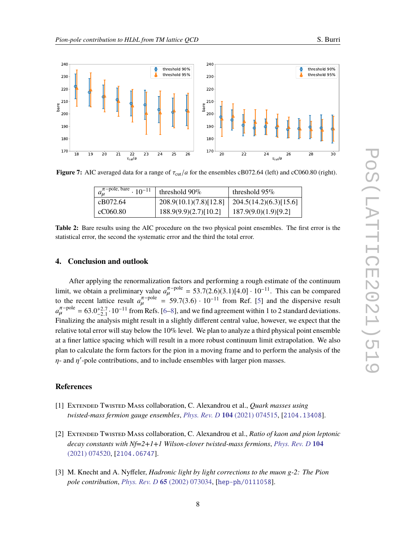<span id="page-7-3"></span>

<span id="page-7-4"></span>**Figure 7:** AIC averaged data for a range of  $\tau_{\text{cut}}/a$  for the ensembles cB072.64 (left) and cC060.80 (right).

| $a_{\mu}^{\pi-\text{pole, bare}} \cdot 10^{-11}$ | threshold $90\%$                                  | threshold $95\%$       |
|--------------------------------------------------|---------------------------------------------------|------------------------|
| cB072.64                                         | $208.9(10.1)(7.8)[12.8]$   204.5(14.2)(6.3)[15.6] |                        |
| cC060.80                                         | 188.9(9.9)(2.7)[10.2]                             | $187.9(9.0)(1.9)[9.2]$ |

**Table 2:** Bare results using the AIC procedure on the two physical point ensembles. The first error is the statistical error, the second the systematic error and the third the total error.

## **4. Conclusion and outlook**

After applying the renormalization factors and performing a rough estimate of the continuum limit, we obtain a preliminary value  $a_{\mu}^{\pi-\text{pole}} = 53.7(2.6)(3.1)[4.0] \cdot 10^{-11}$ . This can be compared<br>to the general letting group  $a_{\mu}^{\pi-\text{pole}} = 50.7(2.6) \cdot 10^{-11}$  from Bef. [5] and the diagogaius group to the recent lattice result  $a_{\mu}^{\pi-\text{pole}} = 59.7(3.6) \cdot 10^{-11}$  from Ref. [\[5\]](#page-8-1) and the dispersive result  $a_{\mu}^{\pi-\text{pole}} = 63.0^{+2.7}_{-2.1} \cdot 10^{-11}$  from Refs. [\[6](#page-8-2)[–8\]](#page-8-3), and we find agreement within 1 to 2 standard deviations. Finalizing the analysis might result in a slightly different central value, however, we expect that the relative total error will stay below the 10% level. We plan to analyze a third physical point ensemble at a finer lattice spacing which will result in a more robust continuum limit extrapolation. We also plan to calculate the form factors for the pion in a moving frame and to perform the analysis of the  $\eta$ - and  $\eta'$ -pole contributions, and to include ensembles with larger pion masses.

### **References**

- <span id="page-7-0"></span>[1] Extended Twisted Mass collaboration, C. Alexandrou et al., *Quark masses using twisted-mass fermion gauge ensembles*, *[Phys. Rev. D](http://dx.doi.org/10.1103/PhysRevD.104.074515)* **104** (2021) 074515, [[2104.13408](http://arxiv.org/abs/2104.13408)].
- <span id="page-7-1"></span>[2] Extended Twisted Mass collaboration, C. Alexandrou et al., *Ratio of kaon and pion leptonic decay constants with Nf=2+1+1 Wilson-clover twisted-mass fermions*, *[Phys. Rev. D](http://dx.doi.org/10.1103/PhysRevD.104.074520)* **104** [\(2021\) 074520,](http://dx.doi.org/10.1103/PhysRevD.104.074520) [[2104.06747](http://arxiv.org/abs/2104.06747)].
- <span id="page-7-2"></span>[3] M. Knecht and A. Nyffeler, *Hadronic light by light corrections to the muon g-2: The Pion pole contribution*, *[Phys. Rev. D](http://dx.doi.org/10.1103/PhysRevD.65.073034)* **65** (2002) 073034, [[hep-ph/0111058](http://arxiv.org/abs/hep-ph/0111058)].